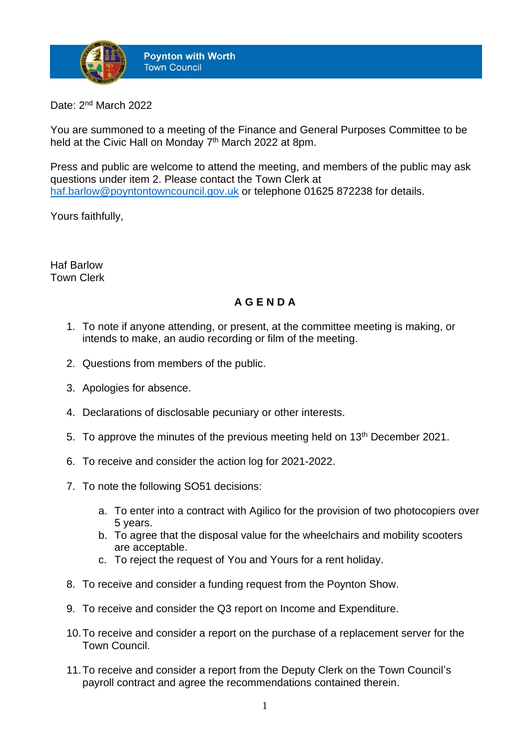

Date: 2<sup>nd</sup> March 2022

You are summoned to a meeting of the Finance and General Purposes Committee to be held at the Civic Hall on Monday 7<sup>th</sup> March 2022 at 8pm.

Press and public are welcome to attend the meeting, and members of the public may ask questions under item 2. Please contact the Town Clerk at [haf.barlow@poyntontowncouncil.gov.uk](mailto:haf.barlow@poyntontowncouncil.gov.uk) or telephone 01625 872238 for details.

Yours faithfully,

Haf Barlow Town Clerk

## **A G E N D A**

- 1. To note if anyone attending, or present, at the committee meeting is making, or intends to make, an audio recording or film of the meeting.
- 2. Questions from members of the public.
- 3. Apologies for absence.
- 4. Declarations of disclosable pecuniary or other interests.
- 5. To approve the minutes of the previous meeting held on 13<sup>th</sup> December 2021.
- 6. To receive and consider the action log for 2021-2022.
- 7. To note the following SO51 decisions:
	- a. To enter into a contract with Agilico for the provision of two photocopiers over 5 years.
	- b. To agree that the disposal value for the wheelchairs and mobility scooters are acceptable.
	- c. To reject the request of You and Yours for a rent holiday.
- 8. To receive and consider a funding request from the Poynton Show.
- 9. To receive and consider the Q3 report on Income and Expenditure.
- 10.To receive and consider a report on the purchase of a replacement server for the Town Council.
- 11.To receive and consider a report from the Deputy Clerk on the Town Council's payroll contract and agree the recommendations contained therein.